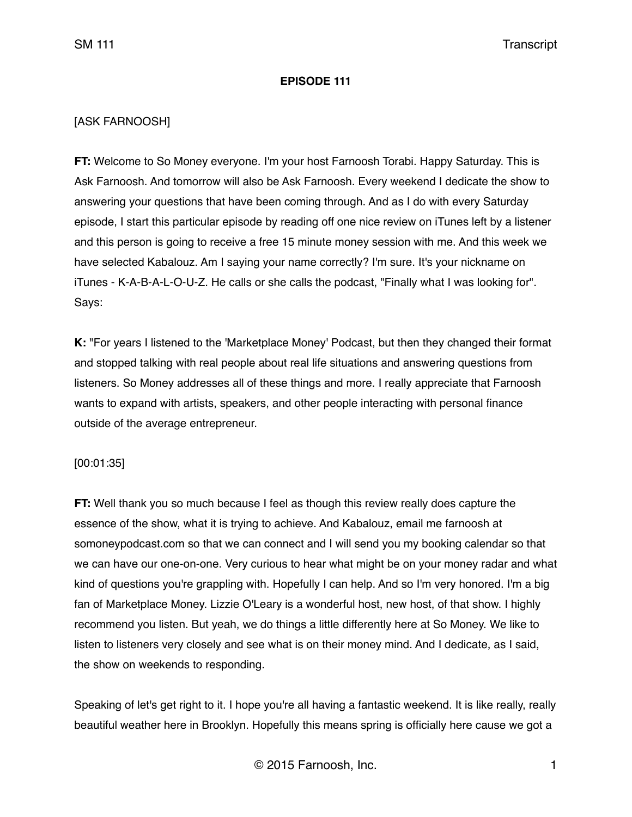## **EPISODE 111**

# [ASK FARNOOSH]

**FT:** Welcome to So Money everyone. I'm your host Farnoosh Torabi. Happy Saturday. This is Ask Farnoosh. And tomorrow will also be Ask Farnoosh. Every weekend I dedicate the show to answering your questions that have been coming through. And as I do with every Saturday episode, I start this particular episode by reading off one nice review on iTunes left by a listener and this person is going to receive a free 15 minute money session with me. And this week we have selected Kabalouz. Am I saying your name correctly? I'm sure. It's your nickname on iTunes - K-A-B-A-L-O-U-Z. He calls or she calls the podcast, "Finally what I was looking for". Says:

**K:** "For years I listened to the 'Marketplace Money' Podcast, but then they changed their format and stopped talking with real people about real life situations and answering questions from listeners. So Money addresses all of these things and more. I really appreciate that Farnoosh wants to expand with artists, speakers, and other people interacting with personal finance outside of the average entrepreneur.

### [00:01:35]

**FT:** Well thank you so much because I feel as though this review really does capture the essence of the show, what it is trying to achieve. And Kabalouz, email me farnoosh at somoneypodcast.com so that we can connect and I will send you my booking calendar so that we can have our one-on-one. Very curious to hear what might be on your money radar and what kind of questions you're grappling with. Hopefully I can help. And so I'm very honored. I'm a big fan of Marketplace Money. Lizzie O'Leary is a wonderful host, new host, of that show. I highly recommend you listen. But yeah, we do things a little differently here at So Money. We like to listen to listeners very closely and see what is on their money mind. And I dedicate, as I said, the show on weekends to responding.

Speaking of let's get right to it. I hope you're all having a fantastic weekend. It is like really, really beautiful weather here in Brooklyn. Hopefully this means spring is officially here cause we got a

© 2015 Farnoosh, Inc. 1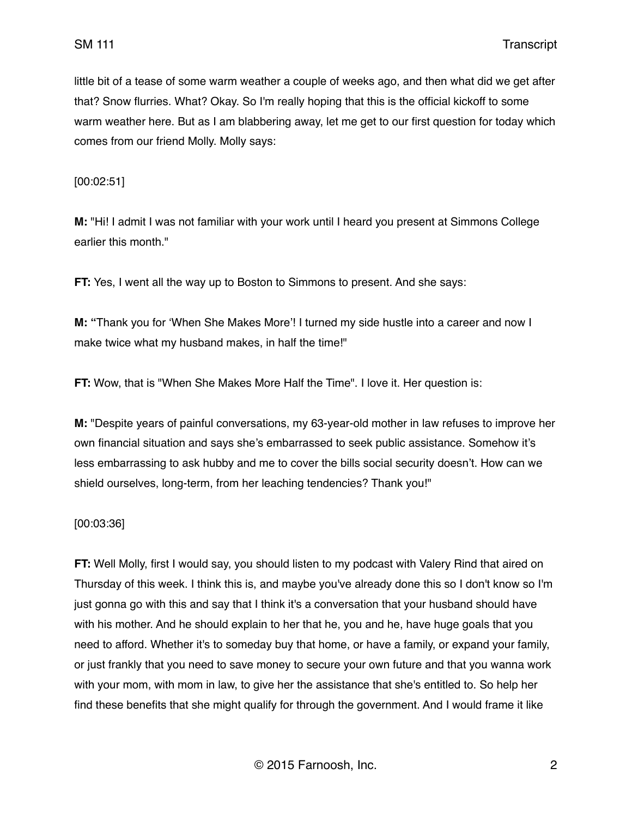little bit of a tease of some warm weather a couple of weeks ago, and then what did we get after that? Snow flurries. What? Okay. So I'm really hoping that this is the official kickoff to some warm weather here. But as I am blabbering away, let me get to our first question for today which comes from our friend Molly. Molly says:

[00:02:51]

**M:** "Hi! I admit I was not familiar with your work until I heard you present at Simmons College earlier this month."

**FT:** Yes, I went all the way up to Boston to Simmons to present. And she says:

**M: "**Thank you for 'When She Makes More'! I turned my side hustle into a career and now I make twice what my husband makes, in half the time!"

**FT:** Wow, that is "When She Makes More Half the Time". I love it. Her question is:

**M:** "Despite years of painful conversations, my 63-year-old mother in law refuses to improve her own financial situation and says she's embarrassed to seek public assistance. Somehow it's less embarrassing to ask hubby and me to cover the bills social security doesn't. How can we shield ourselves, long-term, from her leaching tendencies? Thank you!"

[00:03:36]

**FT:** Well Molly, first I would say, you should listen to my podcast with Valery Rind that aired on Thursday of this week. I think this is, and maybe you've already done this so I don't know so I'm just gonna go with this and say that I think it's a conversation that your husband should have with his mother. And he should explain to her that he, you and he, have huge goals that you need to afford. Whether it's to someday buy that home, or have a family, or expand your family, or just frankly that you need to save money to secure your own future and that you wanna work with your mom, with mom in law, to give her the assistance that she's entitled to. So help her find these benefits that she might qualify for through the government. And I would frame it like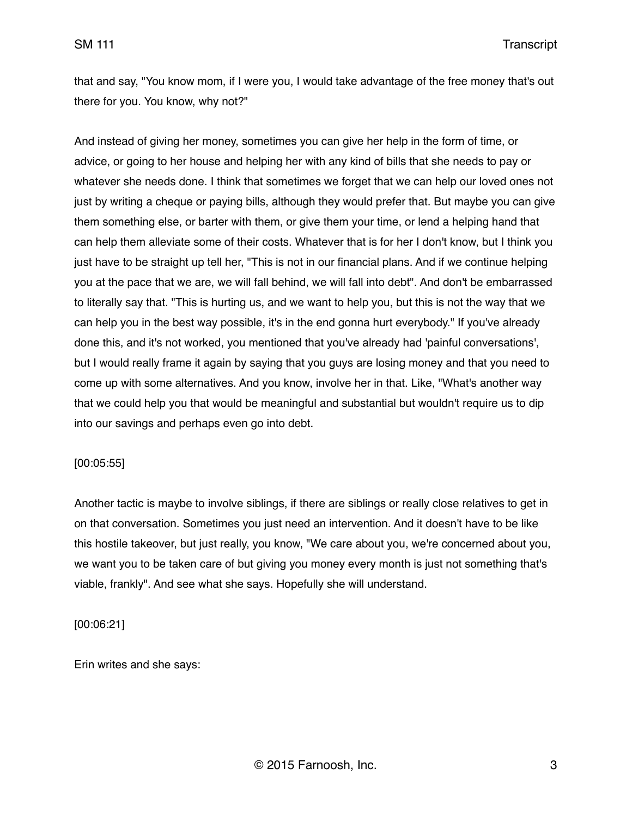that and say, "You know mom, if I were you, I would take advantage of the free money that's out there for you. You know, why not?"

And instead of giving her money, sometimes you can give her help in the form of time, or advice, or going to her house and helping her with any kind of bills that she needs to pay or whatever she needs done. I think that sometimes we forget that we can help our loved ones not just by writing a cheque or paying bills, although they would prefer that. But maybe you can give them something else, or barter with them, or give them your time, or lend a helping hand that can help them alleviate some of their costs. Whatever that is for her I don't know, but I think you just have to be straight up tell her, "This is not in our financial plans. And if we continue helping you at the pace that we are, we will fall behind, we will fall into debt". And don't be embarrassed to literally say that. "This is hurting us, and we want to help you, but this is not the way that we can help you in the best way possible, it's in the end gonna hurt everybody." If you've already done this, and it's not worked, you mentioned that you've already had 'painful conversations', but I would really frame it again by saying that you guys are losing money and that you need to come up with some alternatives. And you know, involve her in that. Like, "What's another way that we could help you that would be meaningful and substantial but wouldn't require us to dip into our savings and perhaps even go into debt.

### [00:05:55]

Another tactic is maybe to involve siblings, if there are siblings or really close relatives to get in on that conversation. Sometimes you just need an intervention. And it doesn't have to be like this hostile takeover, but just really, you know, "We care about you, we're concerned about you, we want you to be taken care of but giving you money every month is just not something that's viable, frankly". And see what she says. Hopefully she will understand.

[00:06:21]

Erin writes and she says: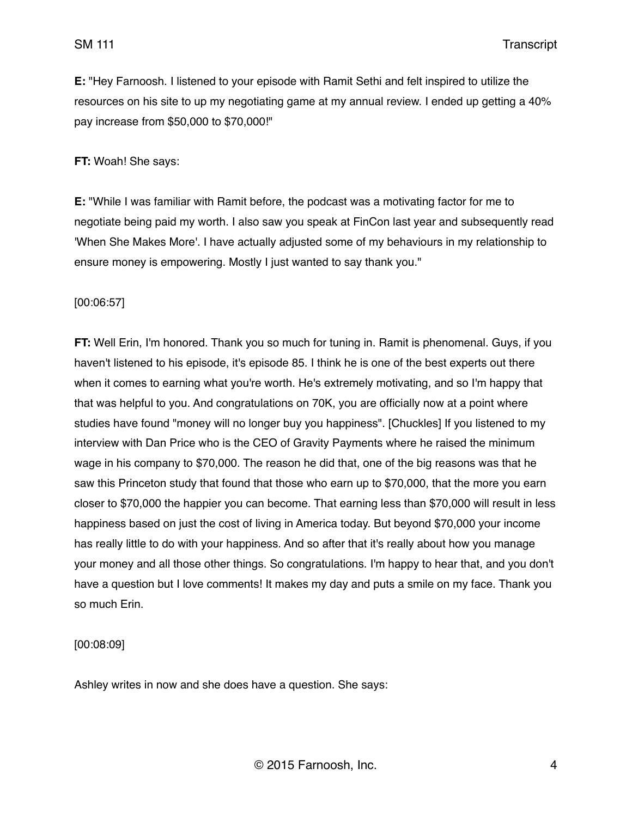**E:** "Hey Farnoosh. I listened to your episode with Ramit Sethi and felt inspired to utilize the resources on his site to up my negotiating game at my annual review. I ended up getting a 40% pay increase from \$50,000 to \$70,000!"

**FT:** Woah! She says:

**E:** "While I was familiar with Ramit before, the podcast was a motivating factor for me to negotiate being paid my worth. I also saw you speak at FinCon last year and subsequently read 'When She Makes More'. I have actually adjusted some of my behaviours in my relationship to ensure money is empowering. Mostly I just wanted to say thank you."

[00:06:57]

**FT:** Well Erin, I'm honored. Thank you so much for tuning in. Ramit is phenomenal. Guys, if you haven't listened to his episode, it's episode 85. I think he is one of the best experts out there when it comes to earning what you're worth. He's extremely motivating, and so I'm happy that that was helpful to you. And congratulations on 70K, you are officially now at a point where studies have found "money will no longer buy you happiness". [Chuckles] If you listened to my interview with Dan Price who is the CEO of Gravity Payments where he raised the minimum wage in his company to \$70,000. The reason he did that, one of the big reasons was that he saw this Princeton study that found that those who earn up to \$70,000, that the more you earn closer to \$70,000 the happier you can become. That earning less than \$70,000 will result in less happiness based on just the cost of living in America today. But beyond \$70,000 your income has really little to do with your happiness. And so after that it's really about how you manage your money and all those other things. So congratulations. I'm happy to hear that, and you don't have a question but I love comments! It makes my day and puts a smile on my face. Thank you so much Erin.

[00:08:09]

Ashley writes in now and she does have a question. She says: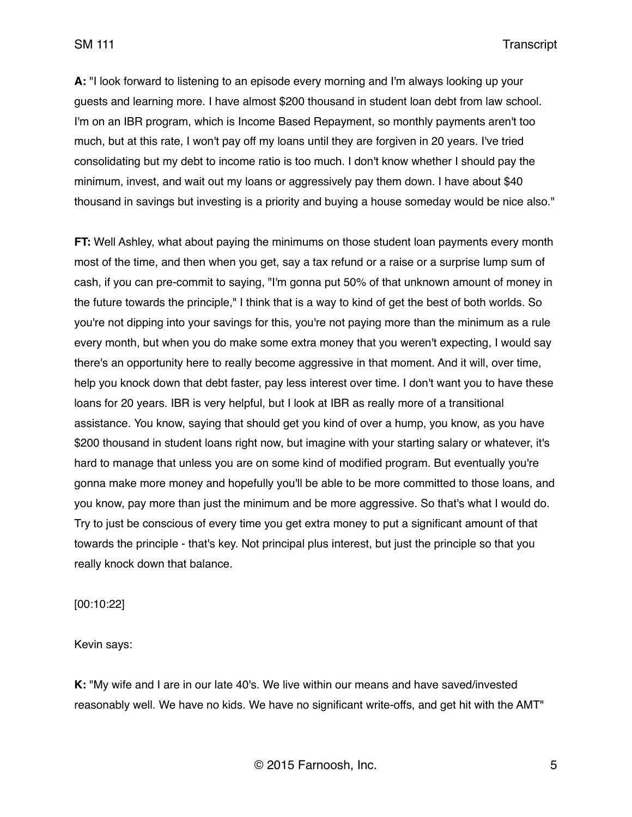**A:** "I look forward to listening to an episode every morning and I'm always looking up your guests and learning more. I have almost \$200 thousand in student loan debt from law school. I'm on an IBR program, which is Income Based Repayment, so monthly payments aren't too much, but at this rate, I won't pay off my loans until they are forgiven in 20 years. I've tried consolidating but my debt to income ratio is too much. I don't know whether I should pay the minimum, invest, and wait out my loans or aggressively pay them down. I have about \$40 thousand in savings but investing is a priority and buying a house someday would be nice also."

**FT:** Well Ashley, what about paying the minimums on those student loan payments every month most of the time, and then when you get, say a tax refund or a raise or a surprise lump sum of cash, if you can pre-commit to saying, "I'm gonna put 50% of that unknown amount of money in the future towards the principle," I think that is a way to kind of get the best of both worlds. So you're not dipping into your savings for this, you're not paying more than the minimum as a rule every month, but when you do make some extra money that you weren't expecting, I would say there's an opportunity here to really become aggressive in that moment. And it will, over time, help you knock down that debt faster, pay less interest over time. I don't want you to have these loans for 20 years. IBR is very helpful, but I look at IBR as really more of a transitional assistance. You know, saying that should get you kind of over a hump, you know, as you have \$200 thousand in student loans right now, but imagine with your starting salary or whatever, it's hard to manage that unless you are on some kind of modified program. But eventually you're gonna make more money and hopefully you'll be able to be more committed to those loans, and you know, pay more than just the minimum and be more aggressive. So that's what I would do. Try to just be conscious of every time you get extra money to put a significant amount of that towards the principle - that's key. Not principal plus interest, but just the principle so that you really knock down that balance.

[00:10:22]

Kevin says:

**K:** "My wife and I are in our late 40's. We live within our means and have saved/invested reasonably well. We have no kids. We have no significant write-offs, and get hit with the AMT"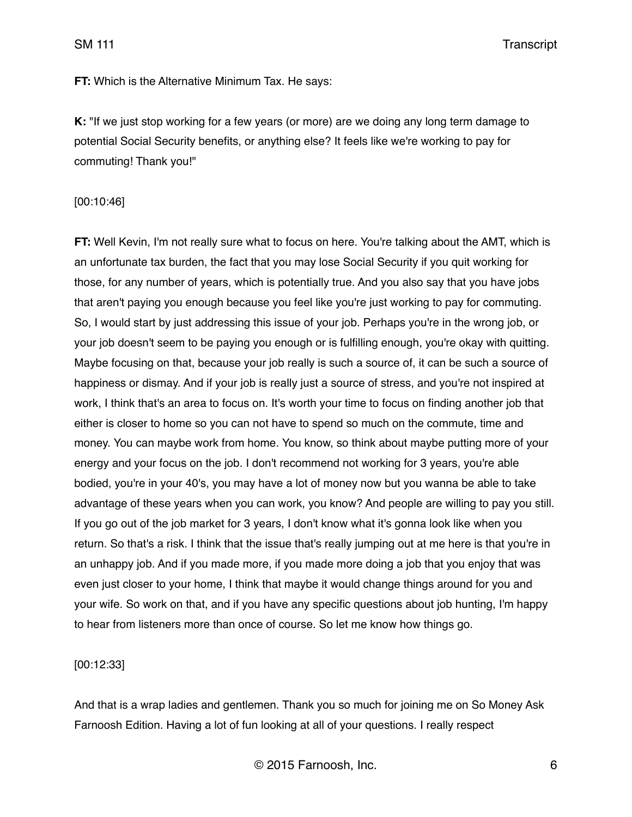SM 111 Transcript

**FT:** Which is the Alternative Minimum Tax. He says:

**K:** "If we just stop working for a few years (or more) are we doing any long term damage to potential Social Security benefits, or anything else? It feels like we're working to pay for commuting! Thank you!"

#### [00:10:46]

**FT:** Well Kevin, I'm not really sure what to focus on here. You're talking about the AMT, which is an unfortunate tax burden, the fact that you may lose Social Security if you quit working for those, for any number of years, which is potentially true. And you also say that you have jobs that aren't paying you enough because you feel like you're just working to pay for commuting. So, I would start by just addressing this issue of your job. Perhaps you're in the wrong job, or your job doesn't seem to be paying you enough or is fulfilling enough, you're okay with quitting. Maybe focusing on that, because your job really is such a source of, it can be such a source of happiness or dismay. And if your job is really just a source of stress, and you're not inspired at work, I think that's an area to focus on. It's worth your time to focus on finding another job that either is closer to home so you can not have to spend so much on the commute, time and money. You can maybe work from home. You know, so think about maybe putting more of your energy and your focus on the job. I don't recommend not working for 3 years, you're able bodied, you're in your 40's, you may have a lot of money now but you wanna be able to take advantage of these years when you can work, you know? And people are willing to pay you still. If you go out of the job market for 3 years, I don't know what it's gonna look like when you return. So that's a risk. I think that the issue that's really jumping out at me here is that you're in an unhappy job. And if you made more, if you made more doing a job that you enjoy that was even just closer to your home, I think that maybe it would change things around for you and your wife. So work on that, and if you have any specific questions about job hunting, I'm happy to hear from listeners more than once of course. So let me know how things go.

#### [00:12:33]

And that is a wrap ladies and gentlemen. Thank you so much for joining me on So Money Ask Farnoosh Edition. Having a lot of fun looking at all of your questions. I really respect

© 2015 Farnoosh, Inc. 6